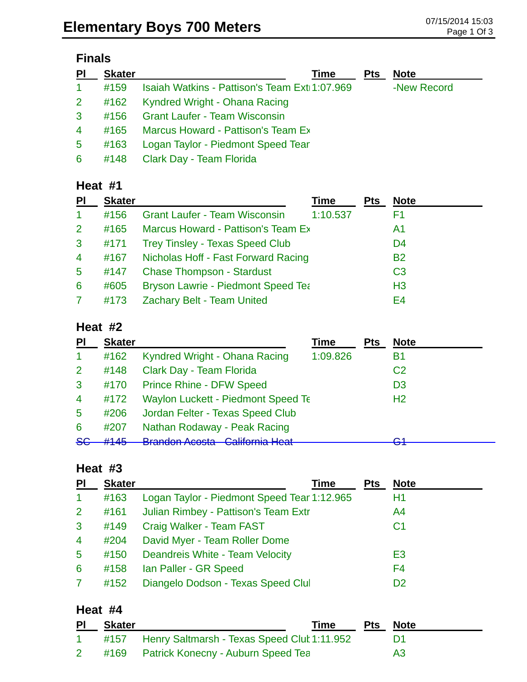# **Finals**

| P <sub>1</sub> | <b>Skater</b> | <b>Note</b><br><b>Pts</b><br>Time                             |
|----------------|---------------|---------------------------------------------------------------|
| $\mathbf{1}$   | #159          | Isaiah Watkins - Pattison's Team Exti 1:07.969<br>-New Record |
| 2 <sup>1</sup> | #162          | Kyndred Wright - Ohana Racing                                 |
| $\mathbf{3}$   | #156          | <b>Grant Laufer - Team Wisconsin</b>                          |
| $\overline{4}$ | #165          | Marcus Howard - Pattison's Team Ex                            |
| $5^{\circ}$    | #163          | Logan Taylor - Piedmont Speed Tear                            |
| 6              | #148          | Clark Day - Team Florida                                      |

### **Heat #1**

| PI              | <b>Skater</b> |                                           | Time     | <b>Pts</b> | <b>Note</b>    |
|-----------------|---------------|-------------------------------------------|----------|------------|----------------|
| 1               | #156          | <b>Grant Laufer - Team Wisconsin</b>      | 1:10.537 |            | F1             |
| <sup>2</sup>    | #165          | Marcus Howard - Pattison's Team Ex        |          |            | A1             |
| 3               | #171          | <b>Trey Tinsley - Texas Speed Club</b>    |          |            | D <sub>4</sub> |
| $\overline{4}$  | #167          | Nicholas Hoff - Fast Forward Racing       |          |            | <b>B2</b>      |
| $5\phantom{.0}$ | #147          | <b>Chase Thompson - Stardust</b>          |          |            | C <sub>3</sub> |
| 6               | #605          | <b>Bryson Lawrie - Piedmont Speed Tea</b> |          |            | H <sub>3</sub> |
|                 | #173          | Zachary Belt - Team United                |          |            | E4             |

#### **Heat #2**

| <b>PI</b>     | <b>Skater</b> |                                                                                   | Time     | <b>Pts</b> | <b>Note</b>    |
|---------------|---------------|-----------------------------------------------------------------------------------|----------|------------|----------------|
|               | #162          | Kyndred Wright - Ohana Racing                                                     | 1:09.826 |            | Β1             |
| 2             | #148          | Clark Day - Team Florida                                                          |          |            | C <sub>2</sub> |
| 3             | #170          | <b>Prince Rhine - DFW Speed</b>                                                   |          |            | D <sub>3</sub> |
| 4             | #172          | <b>Waylon Luckett - Piedmont Speed Te</b>                                         |          |            | H <sub>2</sub> |
| 5             | #206          | Jordan Felter - Texas Speed Club                                                  |          |            |                |
| 6             | #207          | Nathan Rodaway - Peak Racing                                                      |          |            |                |
| <del>SG</del> | H1AE          | <b>Drandon Acosta</b> Colifornia Hoot<br><u> Udiliu III Iudi</u><br>סוטטרו ווטאוכ |          |            | ◠◂<br>ॼ        |

#### **Heat #3**

| PI             | <b>Skater</b> | <b>Time</b>                                 | <b>Pts</b> | <b>Note</b>    |
|----------------|---------------|---------------------------------------------|------------|----------------|
| $\mathbf{1}$   | #163          | Logan Taylor - Piedmont Speed Tear 1:12.965 |            | H1             |
| 2 <sup>1</sup> | #161          | Julian Rimbey - Pattison's Team Extr        |            | A4             |
| $\mathbf{3}$   | #149          | Craig Walker - Team FAST                    |            | C <sub>1</sub> |
| $\overline{4}$ | #204          | David Myer - Team Roller Dome               |            |                |
| $5^{\circ}$    | #150          | Deandreis White - Team Velocity             |            | E <sub>3</sub> |
| 6              | #158          | Ian Paller - GR Speed                       |            | F4             |
| $\mathbf{7}$   | #152          | Diangelo Dodson - Texas Speed Clul          |            | D <sub>2</sub> |

#### **Heat #4**

| PI             | <b>Skater</b> |                                                  | Time | <b>Pts Note</b> |    |
|----------------|---------------|--------------------------------------------------|------|-----------------|----|
|                |               | #157 Henry Saltmarsh - Texas Speed Clut 1:11.952 |      |                 |    |
| $\overline{2}$ |               | #169 Patrick Konecny - Auburn Speed Tea          |      |                 | A3 |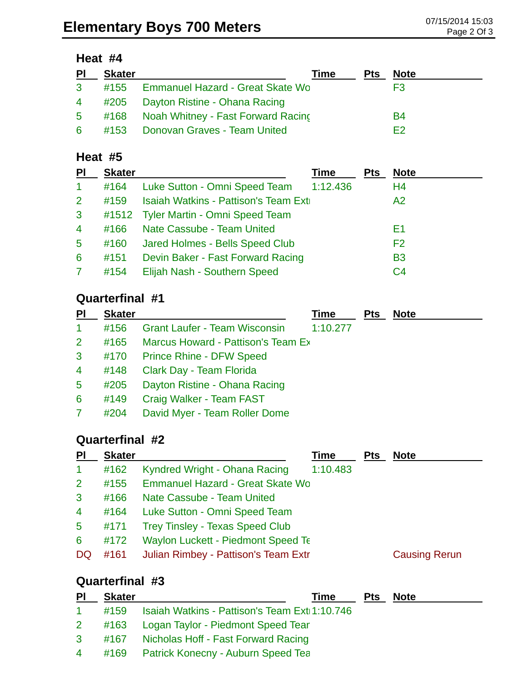| PI             | <b>Skater</b> |                                         | Time | <b>Pts</b> | <b>Note</b> |
|----------------|---------------|-----------------------------------------|------|------------|-------------|
| 3 <sup>1</sup> |               | #155 Emmanuel Hazard - Great Skate Wo   |      |            | F3          |
| $\overline{4}$ |               | #205 Dayton Ristine - Ohana Racing      |      |            |             |
| $5 -$          |               | #168 Noah Whitney - Fast Forward Racing |      |            | B4          |
| 6              |               | #153 Donovan Graves - Team United       |      |            | F2          |

#### **Heat #5**

| <b>Skater</b> |                                   | Time                                                                                                       | <b>Pts</b>                           | <b>Note</b>    |
|---------------|-----------------------------------|------------------------------------------------------------------------------------------------------------|--------------------------------------|----------------|
| #164          |                                   | 1:12.436                                                                                                   |                                      | H4             |
| #159          |                                   |                                                                                                            |                                      | A2             |
|               |                                   |                                                                                                            |                                      |                |
| #166          |                                   |                                                                                                            |                                      | E1             |
| #160          | Jared Holmes - Bells Speed Club   |                                                                                                            |                                      | F <sub>2</sub> |
| #151          | Devin Baker - Fast Forward Racing |                                                                                                            |                                      | <b>B3</b>      |
| #154          | Elijah Nash - Southern Speed      |                                                                                                            |                                      | C <sub>4</sub> |
|               |                                   | Luke Sutton - Omni Speed Team<br>#1512 Tyler Martin - Omni Speed Team<br><b>Nate Cassube - Team United</b> | Isaiah Watkins - Pattison's Team Ext |                |

# **Quarterfinal #1**

| <b>PI</b>      | <b>Skater</b> |                                      | Time     | <b>Pts</b> | <b>Note</b> |
|----------------|---------------|--------------------------------------|----------|------------|-------------|
| $\mathbf{1}$   | #156          | <b>Grant Laufer - Team Wisconsin</b> | 1:10.277 |            |             |
| $\mathbf{2}$   | #165          | Marcus Howard - Pattison's Team Ex   |          |            |             |
| $\mathbf{3}$   | #170          | <b>Prince Rhine - DFW Speed</b>      |          |            |             |
| $\overline{4}$ | #148          | Clark Day - Team Florida             |          |            |             |
| $5^{\circ}$    | #205          | Dayton Ristine - Ohana Racing        |          |            |             |
| 6              | #149          | Craig Walker - Team FAST             |          |            |             |
|                | #204          | David Myer - Team Roller Dome        |          |            |             |

# **Quarterfinal #2**

| PI             | <b>Skater</b> |                                           | Time     | <b>Pts</b> | <b>Note</b>          |
|----------------|---------------|-------------------------------------------|----------|------------|----------------------|
| $\mathbf 1$    | #162          | Kyndred Wright - Ohana Racing             | 1:10.483 |            |                      |
| $\overline{2}$ | #155          | <b>Emmanuel Hazard - Great Skate Wo</b>   |          |            |                      |
| 3              | #166          | Nate Cassube - Team United                |          |            |                      |
| $\overline{4}$ | #164          | Luke Sutton - Omni Speed Team             |          |            |                      |
| $\sqrt{5}$     | #171          | <b>Trey Tinsley - Texas Speed Club</b>    |          |            |                      |
| 6              | #172          | <b>Waylon Luckett - Piedmont Speed Te</b> |          |            |                      |
| DQ             | #161          | Julian Rimbey - Pattison's Team Extr      |          |            | <b>Causing Rerun</b> |
|                |               |                                           |          |            |                      |

# **Quarterfinal #3**

| $\overline{P}$ | <b>Skater</b> | Time                                                | Pts Note |  |
|----------------|---------------|-----------------------------------------------------|----------|--|
| $\mathbf{1}$   |               | #159 Isaiah Watkins - Pattison's Team Exti 1:10.746 |          |  |
|                |               | 2 #163 Logan Taylor - Piedmont Speed Tear           |          |  |
| $3^{\circ}$    |               | #167 Nicholas Hoff - Fast Forward Racing            |          |  |
|                |               | 4 #169 Patrick Konecny - Auburn Speed Tea           |          |  |